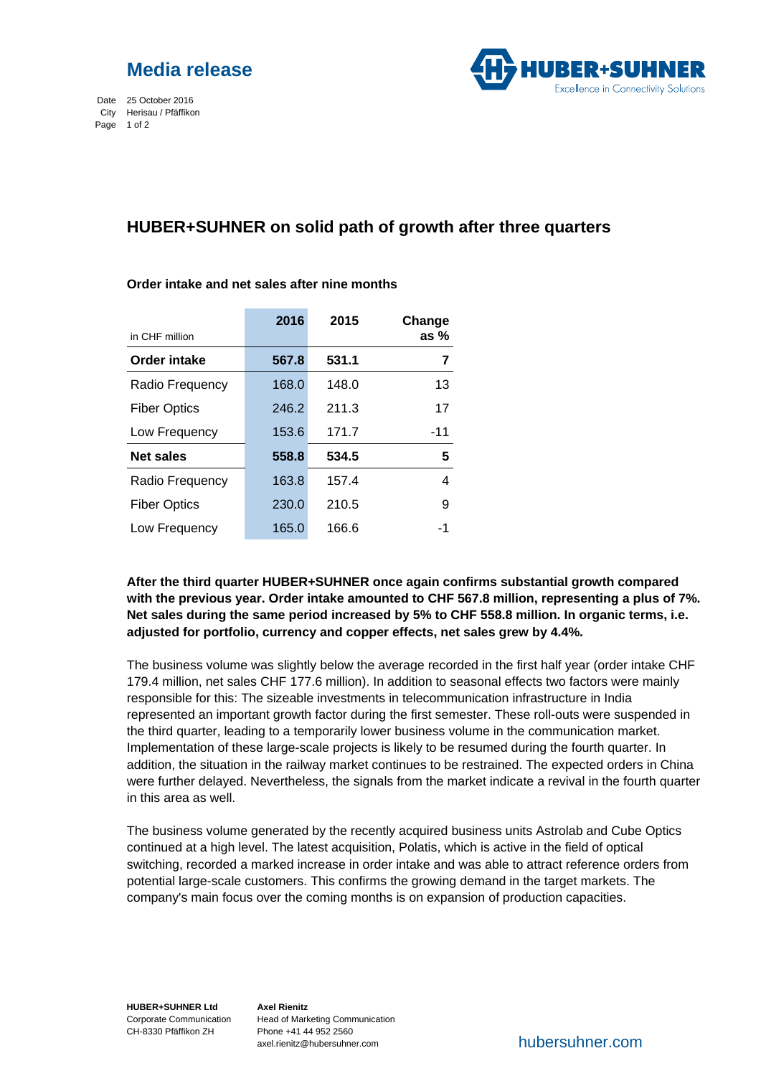

Date 25 October 2016 City Herisau / Pfäffikon Page 1 of 2



# **HUBER+SUHNER on solid path of growth after three quarters**

|                     | 2016  | 2015  | Change |
|---------------------|-------|-------|--------|
| in CHF million      |       |       | as $%$ |
| <b>Order intake</b> | 567.8 | 531.1 | 7      |
| Radio Frequency     | 168.0 | 148.0 | 13     |
| <b>Fiber Optics</b> | 246.2 | 211.3 | 17     |
| Low Frequency       | 153.6 | 171.7 | -11    |
| <b>Net sales</b>    | 558.8 | 534.5 | 5      |
| Radio Frequency     | 163.8 | 157.4 | 4      |
| <b>Fiber Optics</b> | 230.0 | 210.5 | 9      |
| Low Frequency       | 165.0 | 166.6 | -1     |

### **Order intake and net sales after nine months**

**After the third quarter HUBER+SUHNER once again confirms substantial growth compared with the previous year. Order intake amounted to CHF 567.8 million, representing a plus of 7%. Net sales during the same period increased by 5% to CHF 558.8 million. In organic terms, i.e. adjusted for portfolio, currency and copper effects, net sales grew by 4.4%.** 

The business volume was slightly below the average recorded in the first half year (order intake CHF 179.4 million, net sales CHF 177.6 million). In addition to seasonal effects two factors were mainly responsible for this: The sizeable investments in telecommunication infrastructure in India represented an important growth factor during the first semester. These roll-outs were suspended in the third quarter, leading to a temporarily lower business volume in the communication market. Implementation of these large-scale projects is likely to be resumed during the fourth quarter. In addition, the situation in the railway market continues to be restrained. The expected orders in China were further delayed. Nevertheless, the signals from the market indicate a revival in the fourth quarter in this area as well.

The business volume generated by the recently acquired business units Astrolab and Cube Optics continued at a high level. The latest acquisition, Polatis, which is active in the field of optical switching, recorded a marked increase in order intake and was able to attract reference orders from potential large-scale customers. This confirms the growing demand in the target markets. The company's main focus over the coming months is on expansion of production capacities.

**HUBER+SUHNER Ltd** Corporate Communication CH-8330 Pfäffikon ZH

**Axel Rienitz** Head of Marketing Communication Phone +41 44 952 2560 axel.rienitz@hubersuhner.com

hubersuhner.com